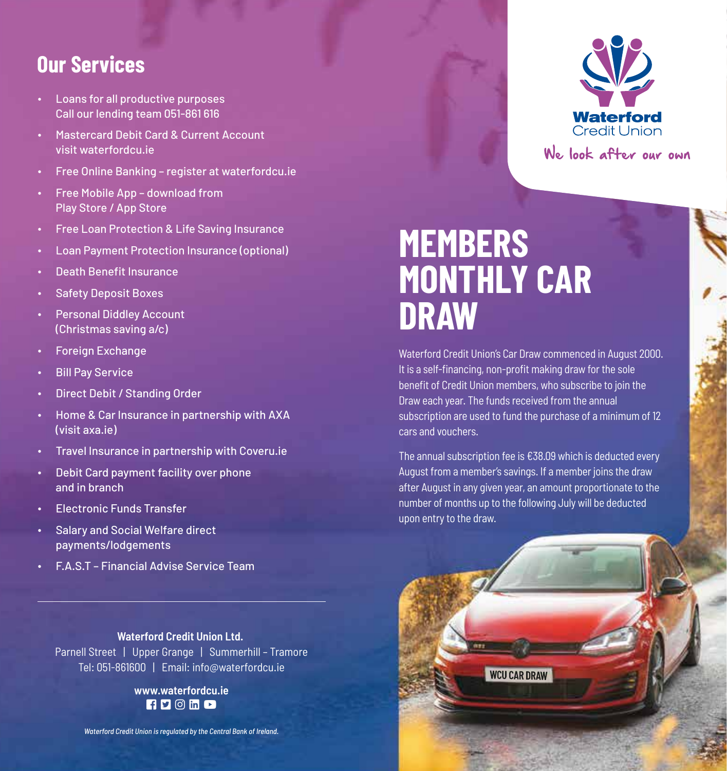### **Our Services**

- ∙ Loans for all productive purposes Call our lending team 051-861 616
- ∙ Mastercard Debit Card & Current Account visit waterfordcu.ie
- ∙ Free Online Banking register at waterfordcu.ie
- ∙ Free Mobile App download from Play Store / App Store
- ∙ Free Loan Protection & Life Saving Insurance
- ∙ Loan Payment Protection Insurance (optional)
- ∙ Death Benefit Insurance
- ∙ Safety Deposit Boxes
- ∙ Personal Diddley Account (Christmas saving a/c)
- ∙ Foreign Exchange
- ∙ Bill Pay Service
- ∙ Direct Debit / Standing Order
- ∙ Home & Car Insurance in partnership with AXA (visit axa.ie)
- ∙ Travel Insurance in partnership with Coveru.ie
- ∙ Debit Card payment facility over phone and in branch
- ∙ Electronic Funds Transfer
- ∙ Salary and Social Welfare direct payments/lodgements
- ∙ F.A.S.T Financial Advise Service Team

**Waterford Credit Union Ltd.**  Parnell Street | Upper Grange | Summerhill - Tramore Tel: 051-861600 | Email: info@waterfordcu.ie

> **www.waterfordcu.ie**  $F \cup \emptyset$  in  $\Box$

*Waterford Credit Union is regulated by the Central Bank of Ireland.*



We look after our own

# **MEMBERS MONTHLY CAR DRAW**

Waterford Credit Union's Car Draw commenced in August 2000. It is a self-financing, non-profit making draw for the sole benefit of Credit Union members, who subscribe to join the Draw each year. The funds received from the annual subscription are used to fund the purchase of a minimum of 12 cars and vouchers.

The annual subscription fee is €38.09 which is deducted every August from a member's savings. If a member joins the draw after August in any given year, an amount proportionate to the number of months up to the following July will be deducted upon entry to the draw.